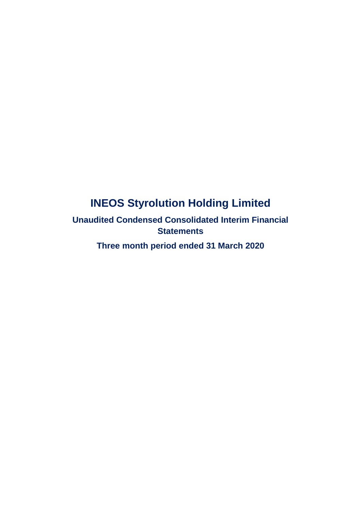**Unaudited Condensed Consolidated Interim Financial Statements**

**Three month period ended 31 March 2020**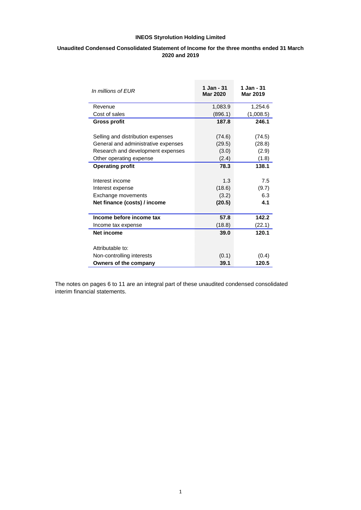# **Unaudited Condensed Consolidated Statement of Income for the three months ended 31 March 2020 and 2019**

| In millions of EUR                                                       | 1 Jan - 31<br><b>Mar 2020</b> | 1 Jan - 31<br>Mar 2019 |
|--------------------------------------------------------------------------|-------------------------------|------------------------|
| Revenue                                                                  | 1,083.9                       | 1,254.6                |
| Cost of sales                                                            | (896.1)                       | (1,008.5)              |
| Gross profit                                                             | 187.8                         | 246.1                  |
| Selling and distribution expenses<br>General and administrative expenses | (74.6)<br>(29.5)              | (74.5)<br>(28.8)       |
| Research and development expenses                                        | (3.0)                         | (2.9)                  |
| Other operating expense                                                  | (2.4)                         | (1.8)                  |
| <b>Operating profit</b>                                                  | 78.3                          | 138.1                  |
| Interest income                                                          | 1.3                           | 7.5                    |
| Interest expense                                                         | (18.6)                        | (9.7)                  |
| Exchange movements                                                       | (3.2)                         | 6.3                    |
| Net finance (costs) / income                                             | (20.5)                        | 4.1                    |
|                                                                          |                               |                        |
| Income before income tax                                                 | 57.8                          | 142.2                  |
| Income tax expense                                                       | (18.8)                        | (22.1)                 |
| <b>Net income</b>                                                        | 39.0                          | 120.1                  |
|                                                                          |                               |                        |
| Attributable to:                                                         |                               |                        |
| Non-controlling interests                                                | (0.1)                         | (0.4)                  |
| Owners of the company                                                    | 39.1                          | 120.5                  |

The notes on pages 6 to 11 are an integral part of these unaudited condensed consolidated interim financial statements.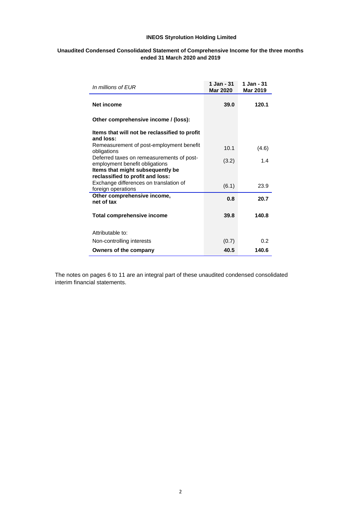# **Unaudited Condensed Consolidated Statement of Comprehensive Income for the three months ended 31 March 2020 and 2019**

| In millions of EUR                                                          | 1 Jan - 31<br><b>Mar 2020</b> | 1 Jan - 31<br><b>Mar 2019</b> |
|-----------------------------------------------------------------------------|-------------------------------|-------------------------------|
| <b>Net income</b>                                                           | 39.0                          | 120.1                         |
| Other comprehensive income / (loss):                                        |                               |                               |
| Items that will not be reclassified to profit<br>and loss:                  |                               |                               |
| Remeasurement of post-employment benefit<br>obligations                     | 10.1                          | (4.6)                         |
| Deferred taxes on remeasurements of post-<br>employment benefit obligations | (3.2)                         | 1.4                           |
| Items that might subsequently be<br>reclassified to profit and loss:        |                               |                               |
| Exchange differences on translation of<br>foreign operations                | (6.1)                         | 23.9                          |
| Other comprehensive income,<br>net of tax                                   | 0.8                           | 20.7                          |
| Total comprehensive income                                                  | 39.8                          | 140.8                         |
| Attributable to:                                                            |                               |                               |
| Non-controlling interests                                                   | (0.7)                         | 0.2                           |
| Owners of the company                                                       | 40.5                          | 140.6                         |

The notes on pages 6 to 11 are an integral part of these unaudited condensed consolidated interim financial statements.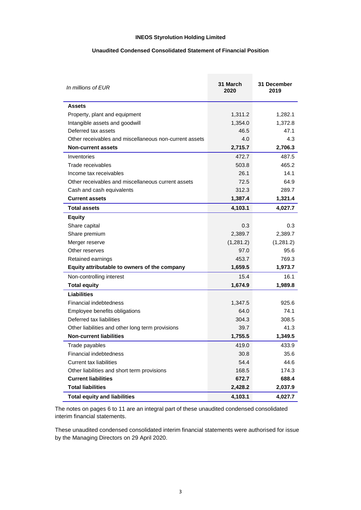# **Unaudited Condensed Consolidated Statement of Financial Position**

| In millions of EUR                                     | 31 March<br>2020 | 31 December<br>2019 |
|--------------------------------------------------------|------------------|---------------------|
| <b>Assets</b>                                          |                  |                     |
| Property, plant and equipment                          | 1,311.2          | 1,282.1             |
| Intangible assets and goodwill                         | 1,354.0          | 1,372.8             |
| Deferred tax assets                                    | 46.5             | 47.1                |
| Other receivables and miscellaneous non-current assets | 4.0              | 4.3                 |
| <b>Non-current assets</b>                              | 2,715.7          | 2,706.3             |
| Inventories                                            | 472.7            | 487.5               |
| Trade receivables                                      | 503.8            | 465.2               |
| Income tax receivables                                 | 26.1             | 14.1                |
| Other receivables and miscellaneous current assets     | 72.5             | 64.9                |
| Cash and cash equivalents                              | 312.3            | 289.7               |
| <b>Current assets</b>                                  | 1,387.4          | 1,321.4             |
| <b>Total assets</b>                                    | 4,103.1          | 4,027.7             |
| <b>Equity</b>                                          |                  |                     |
| Share capital                                          | 0.3              | 0.3                 |
| Share premium                                          | 2,389.7          | 2,389.7             |
| Merger reserve                                         | (1,281.2)        | (1,281.2)           |
| Other reserves                                         | 97.0             | 95.6                |
| Retained earnings                                      | 453.7            | 769.3               |
| Equity attributable to owners of the company           | 1,659.5          | 1,973.7             |
| Non-controlling interest                               | 15.4             | 16.1                |
| <b>Total equity</b>                                    | 1,674.9          | 1,989.8             |
| <b>Liabilities</b>                                     |                  |                     |
| <b>Financial indebtedness</b>                          | 1,347.5          | 925.6               |
| Employee benefits obligations                          | 64.0             | 74.1                |
| Deferred tax liabilities                               | 304.3            | 308.5               |
| Other liabilities and other long term provisions       | 39.7             | 41.3                |
| <b>Non-current liabilities</b>                         | 1,755.5          | 1,349.5             |
| Trade payables                                         | 419.0            | 433.9               |
| Financial indebtedness                                 | 30.8             | 35.6                |
| <b>Current tax liabilities</b>                         | 54.4             | 44.6                |
| Other liabilities and short term provisions            | 168.5            | 174.3               |
| <b>Current liabilities</b>                             | 672.7            | 688.4               |
| <b>Total liabilities</b>                               | 2,428.2          | 2,037.9             |
| <b>Total equity and liabilities</b>                    | 4,103.1          | 4,027.7             |

The notes on pages 6 to 11 are an integral part of these unaudited condensed consolidated interim financial statements.

These unaudited condensed consolidated interim financial statements were authorised for issue by the Managing Directors on 29 April 2020.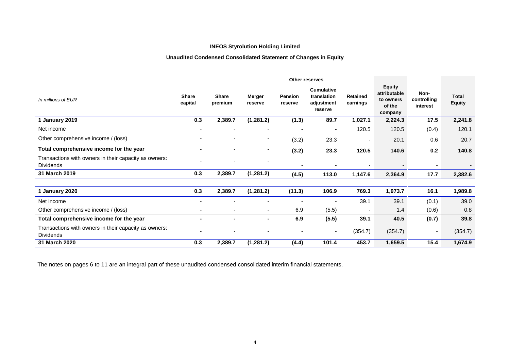# **Unaudited Condensed Consolidated Statement of Changes in Equity**

|                                                                           |                          |                         |                          | <b>Other reserves</b>     |                                                           |                             |                                                                 |                                 |                               |
|---------------------------------------------------------------------------|--------------------------|-------------------------|--------------------------|---------------------------|-----------------------------------------------------------|-----------------------------|-----------------------------------------------------------------|---------------------------------|-------------------------------|
| In millions of EUR                                                        | <b>Share</b><br>capital  | <b>Share</b><br>premium | Merger<br>reserve        | <b>Pension</b><br>reserve | <b>Cumulative</b><br>translation<br>adjustment<br>reserve | <b>Retained</b><br>earnings | <b>Equity</b><br>attributable<br>to owners<br>of the<br>company | Non-<br>controlling<br>interest | <b>Total</b><br><b>Equity</b> |
| 1 January 2019                                                            | 0.3                      | 2,389.7                 | (1, 281.2)               | (1.3)                     | 89.7                                                      | 1,027.1                     | 2,224.3                                                         | 17.5                            | 2,241.8                       |
| Net income                                                                |                          |                         |                          |                           |                                                           | 120.5                       | 120.5                                                           | (0.4)                           | 120.1                         |
| Other comprehensive income / (loss)                                       | $\overline{\phantom{a}}$ |                         | $\overline{\phantom{a}}$ | (3.2)                     | 23.3                                                      |                             | 20.1                                                            | 0.6                             | 20.7                          |
| Total comprehensive income for the year                                   |                          |                         |                          | (3.2)                     | 23.3                                                      | 120.5                       | 140.6                                                           | 0.2                             | 140.8                         |
| Transactions with owners in their capacity as owners:<br><b>Dividends</b> |                          |                         |                          | $\overline{\phantom{a}}$  |                                                           |                             |                                                                 | $\overline{\phantom{a}}$        |                               |
| 31 March 2019                                                             | 0.3                      | 2,389.7                 | (1, 281.2)               | (4.5)                     | 113.0                                                     | 1,147.6                     | 2,364.9                                                         | 17.7                            | 2,382.6                       |
|                                                                           |                          |                         |                          |                           |                                                           |                             |                                                                 |                                 |                               |
| 1 January 2020                                                            | 0.3                      | 2,389.7                 | (1, 281.2)               | (11.3)                    | 106.9                                                     | 769.3                       | 1,973.7                                                         | 16.1                            | 1,989.8                       |
| Net income                                                                |                          |                         |                          |                           |                                                           | 39.1                        | 39.1                                                            | (0.1)                           | 39.0                          |
| Other comprehensive income / (loss)                                       |                          |                         |                          | 6.9                       | (5.5)                                                     |                             | 1.4                                                             | (0.6)                           | 0.8                           |
| Total comprehensive income for the year                                   | $\blacksquare$           | ۰.                      | $\blacksquare$           | 6.9                       | (5.5)                                                     | 39.1                        | 40.5                                                            | (0.7)                           | 39.8                          |
| Transactions with owners in their capacity as owners:<br><b>Dividends</b> |                          |                         |                          | $\blacksquare$            | $\overline{\phantom{a}}$                                  | (354.7)                     | (354.7)                                                         | $\overline{\phantom{a}}$        | (354.7)                       |
| 31 March 2020                                                             | 0.3                      | 2,389.7                 | (1, 281.2)               | (4.4)                     | 101.4                                                     | 453.7                       | 1,659.5                                                         | 15.4                            | 1,674.9                       |

The notes on pages 6 to 11 are an integral part of these unaudited condensed consolidated interim financial statements.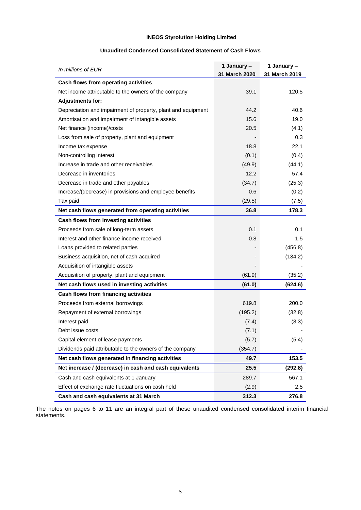| In millions of EUR                                           | 1 January -   | 1 January -   |
|--------------------------------------------------------------|---------------|---------------|
|                                                              | 31 March 2020 | 31 March 2019 |
| Cash flows from operating activities                         |               |               |
| Net income attributable to the owners of the company         | 39.1          | 120.5         |
| <b>Adjustments for:</b>                                      |               |               |
| Depreciation and impairment of property, plant and equipment | 44.2          | 40.6          |
| Amortisation and impairment of intangible assets             | 15.6          | 19.0          |
| Net finance (income)/costs                                   | 20.5          | (4.1)         |
| Loss from sale of property, plant and equipment              |               | 0.3           |
| Income tax expense                                           | 18.8          | 22.1          |
| Non-controlling interest                                     | (0.1)         | (0.4)         |
| Increase in trade and other receivables                      | (49.9)        | (44.1)        |
| Decrease in inventories                                      | 12.2          | 57.4          |
| Decrease in trade and other payables                         | (34.7)        | (25.3)        |
| Increase/(decrease) in provisions and employee benefits      | 0.6           | (0.2)         |
| Tax paid                                                     | (29.5)        | (7.5)         |
| Net cash flows generated from operating activities           | 36.8          | 178.3         |
| Cash flows from investing activities                         |               |               |
| Proceeds from sale of long-term assets                       | 0.1           | 0.1           |
| Interest and other finance income received                   | 0.8           | 1.5           |
| Loans provided to related parties                            |               | (456.8)       |
| Business acquisition, net of cash acquired                   |               | (134.2)       |
| Acquisition of intangible assets                             |               |               |
| Acquisition of property, plant and equipment                 | (61.9)        | (35.2)        |
| Net cash flows used in investing activities                  | (61.0)        | (624.6)       |
| Cash flows from financing activities                         |               |               |
| Proceeds from external borrowings                            | 619.8         | 200.0         |
| Repayment of external borrowings                             | (195.2)       | (32.8)        |
| Interest paid                                                | (7.4)         | (8.3)         |
| Debt issue costs                                             | (7.1)         |               |
| Capital element of lease payments                            | (5.7)         | (5.4)         |
| Dividends paid attributable to the owners of the company     | (354.7)       |               |
| Net cash flows generated in financing activities             | 49.7          | 153.5         |
| Net increase / (decrease) in cash and cash equivalents       | 25.5          | (292.8)       |
| Cash and cash equivalents at 1 January                       | 289.7         | 567.1         |
| Effect of exchange rate fluctuations on cash held            | (2.9)         | 2.5           |
| Cash and cash equivalents at 31 March                        | 312.3         | 276.8         |

# **Unaudited Condensed Consolidated Statement of Cash Flows**

The notes on pages 6 to 11 are an integral part of these unaudited condensed consolidated interim financial statements.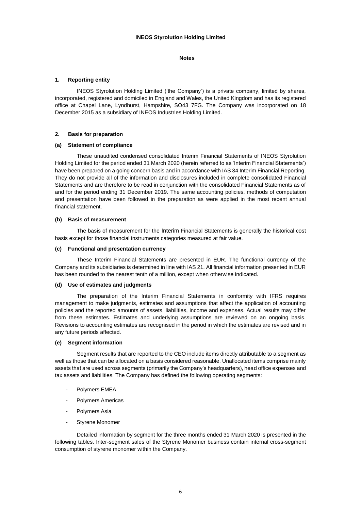**Notes**

## **1. Reporting entity**

INEOS Styrolution Holding Limited ('the Company') is a private company, limited by shares, incorporated, registered and domiciled in England and Wales, the United Kingdom and has its registered office at Chapel Lane, Lyndhurst, Hampshire, SO43 7FG. The Company was incorporated on 18 December 2015 as a subsidiary of INEOS Industries Holding Limited.

#### **2. Basis for preparation**

## **(a) Statement of compliance**

These unaudited condensed consolidated Interim Financial Statements of INEOS Styrolution Holding Limited for the period ended 31 March 2020 (herein referred to as 'Interim Financial Statements') have been prepared on a going concern basis and in accordance with IAS 34 Interim Financial Reporting. They do not provide all of the information and disclosures included in complete consolidated Financial Statements and are therefore to be read in conjunction with the consolidated Financial Statements as of and for the period ending 31 December 2019. The same accounting policies, methods of computation and presentation have been followed in the preparation as were applied in the most recent annual financial statement.

## **(b) Basis of measurement**

The basis of measurement for the Interim Financial Statements is generally the historical cost basis except for those financial instruments categories measured at fair value.

## **(c) Functional and presentation currency**

These Interim Financial Statements are presented in EUR. The functional currency of the Company and its subsidiaries is determined in line with IAS 21. All financial information presented in EUR has been rounded to the nearest tenth of a million, except when otherwise indicated.

#### **(d) Use of estimates and judgments**

The preparation of the Interim Financial Statements in conformity with IFRS requires management to make judgments, estimates and assumptions that affect the application of accounting policies and the reported amounts of assets, liabilities, income and expenses. Actual results may differ from these estimates. Estimates and underlying assumptions are reviewed on an ongoing basis. Revisions to accounting estimates are recognised in the period in which the estimates are revised and in any future periods affected.

## **(e) Segment information**

Segment results that are reported to the CEO include items directly attributable to a segment as well as those that can be allocated on a basis considered reasonable. Unallocated items comprise mainly assets that are used across segments (primarily the Company's headquarters), head office expenses and tax assets and liabilities. The Company has defined the following operating segments:

- Polymers EMEA
- Polymers Americas
- Polymers Asia
- Styrene Monomer

Detailed information by segment for the three months ended 31 March 2020 is presented in the following tables. Inter-segment sales of the Styrene Monomer business contain internal cross-segment consumption of styrene monomer within the Company.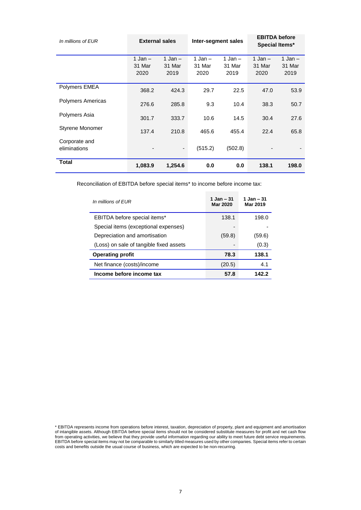| In millions of EUR            |                           | <b>External sales</b>       |                             | Inter-segment sales       |                             | <b>EBITDA</b> before<br>Special Items* |
|-------------------------------|---------------------------|-----------------------------|-----------------------------|---------------------------|-----------------------------|----------------------------------------|
|                               | 1 Jan –<br>31 Mar<br>2020 | 1 Jan $-$<br>31 Mar<br>2019 | 1 Jan $-$<br>31 Mar<br>2020 | 1 Jan –<br>31 Mar<br>2019 | 1 Jan $-$<br>31 Mar<br>2020 | 1 Jan $-$<br>31 Mar<br>2019            |
| Polymers EMEA                 | 368.2                     | 424.3                       | 29.7                        | 22.5                      | 47.0                        | 53.9                                   |
| Polymers Americas             | 276.6                     | 285.8                       | 9.3                         | 10.4                      | 38.3                        | 50.7                                   |
| Polymers Asia                 | 301.7                     | 333.7                       | 10.6                        | 14.5                      | 30.4                        | 27.6                                   |
| <b>Styrene Monomer</b>        | 137.4                     | 210.8                       | 465.6                       | 455.4                     | 22.4                        | 65.8                                   |
| Corporate and<br>eliminations | -                         | $\overline{\phantom{a}}$    | (515.2)                     | (502.8)                   |                             |                                        |
| Total                         | 1,083.9                   | 1,254.6                     | 0.0                         | 0.0                       | 138.1                       | 198.0                                  |

Reconciliation of EBITDA before special items\* to income before income tax:

| In millions of FUR                      | 1 Jan $-31$<br><b>Mar 2020</b> | 1 Jan – 31<br>Mar 2019 |
|-----------------------------------------|--------------------------------|------------------------|
| EBITDA before special items*            | 138.1                          | 198.0                  |
| Special items (exceptional expenses)    |                                |                        |
| Depreciation and amortisation           | (59.8)                         | (59.6)                 |
| (Loss) on sale of tangible fixed assets |                                | (0.3)                  |
| <b>Operating profit</b>                 | 78.3                           | 138.1                  |
| Net finance (costs)/income              | (20.5)                         | 4.1                    |
| Income before income tax                | 57.8                           | 142.2                  |

\* EBITDA represents income from operations before interest, taxation, depreciation of property, plant and equipment and amortisation of intangible assets. Although EBITDA before special items should not be considered substitute measures for profit and net cash flow from operating activities, we believe that they provide useful information regarding our ability to meet future debt service requirements. EBITDA before special items may not be comparable to similarly titled measures used by other companies. Special items refer to certain costs and benefits outside the usual course of business, which are expected to be non-recurring.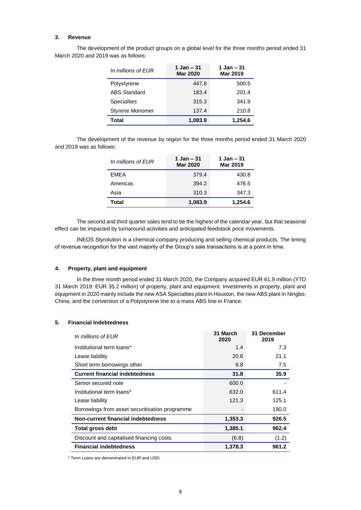#### **3. Revenue**

The development of the product groups on a global level for the three months period ended 31 March 2020 and 2019 was as follows:

| In millions of EUR  | 1 Jan - 31<br><b>Mar 2020</b> | 1 Jan - 31<br><b>Mar 2019</b> |
|---------------------|-------------------------------|-------------------------------|
| Polystyrene         | 447.8                         | 500.5                         |
| <b>ABS Standard</b> | 183.4                         | 201.4                         |
| <b>Specialties</b>  | 315.3                         | 341.9                         |
| Styrene Monomer     | 137.4                         | 210.8                         |
| Total               | 1,083.9                       | 1.254.6                       |

The development of the revenue by region for the three months period ended 31 March 2020 and 2019 was as follows:

| In millions of FUR | 1 Jan - 31<br><b>Mar 2020</b> | 1 Jan - 31<br><b>Mar 2019</b> |
|--------------------|-------------------------------|-------------------------------|
| <b>FMFA</b>        | 379.4                         | 430.8                         |
| Americas           | 394.2                         | 476.5                         |
| Asia               | 310.3                         | 347.3                         |
| Total              | 1.083.9                       | 1.254.6                       |

The second and third quarter sales tend to be the highest of the calendar year, but that seasonal effect can be impacted by turnaround activities and anticipated feedstock price movements.

INEOS Styrolution is a chemical company producing and selling chemical products. The timing of revenue recognition for the vast majority of the Group's sale transactions is at a point in time.

## **4. Property, plant and equipment**

In the three month period ended 31 March 2020, the Company acquired EUR 61.9 million (YTD 31 March 2019: EUR 35.2 million) of property, plant and equipment. Investments in property, plant and equipment in 2020 mainly include the new ASA Specialties plant in Houston, the new ABS plant in Ningbo, China, and the conversion of a Polystyrene line to a mass ABS line in France.

## **5. Financial Indebtedness**

| In millions of EUR                             | 31 March<br>2020 | 31 December<br>2019 |
|------------------------------------------------|------------------|---------------------|
| Institutional term loans*                      | 1.4              | 7.3                 |
| Lease liability                                | 20.6             | 21.1                |
| Short term borrowings other                    | 9.8              | 7.5                 |
| <b>Current financial indebtedness</b>          | 31.8             | 35.9                |
| Senior secured note                            | 600.0            |                     |
| Institutional term loans*                      | 632.0            | 611.4               |
| Lease liability                                | 121.3            | 125.1               |
| Borrowings from asset securitisation programme |                  | 190.0               |
| Non-current financial indebtedness             | 1,353.3          | 926.5               |
| Total gross debt                               | 1,385.1          | 962.4               |
| Discount and capitalised financing costs       | (6.8)            | (1.2)               |
| <b>Financial indebtedness</b>                  | 1,378.3          | 961.2               |

\* Term Loans are denominated in EUR and USD.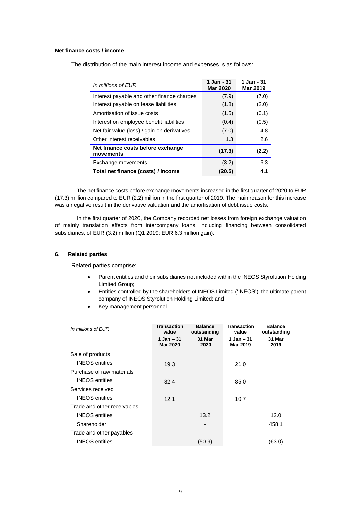## **Net finance costs / income**

| In millions of FUR                             | 1 Jan - 31<br><b>Mar 2020</b> | 1 Jan - 31<br>Mar 2019 |
|------------------------------------------------|-------------------------------|------------------------|
| Interest payable and other finance charges     | (7.9)                         | (7.0)                  |
| Interest payable on lease liabilities          | (1.8)                         | (2.0)                  |
| Amortisation of issue costs                    | (1.5)                         | (0.1)                  |
| Interest on employee benefit liabilities       | (0.4)                         | (0.5)                  |
| Net fair value (loss) / gain on derivatives    | (7.0)                         | 4.8                    |
| Other interest receivables                     | 1.3                           | 2.6                    |
| Net finance costs before exchange<br>movements | (17.3)                        | (2.2)                  |
| Exchange movements                             | (3.2)                         | 6.3                    |
| Total net finance (costs) / income             | (20.5)                        | 4.1                    |

The distribution of the main interest income and expenses is as follows:

The net finance costs before exchange movements increased in the first quarter of 2020 to EUR (17.3) million compared to EUR (2.2) million in the first quarter of 2019. The main reason for this increase was a negative result in the derivative valuation and the amortisation of debt issue costs.

In the first quarter of 2020, the Company recorded net losses from foreign exchange valuation of mainly translation effects from intercompany loans, including financing between consolidated subsidiaries, of EUR (3.2) million (Q1 2019: EUR 6.3 million gain).

## **6. Related parties**

Related parties comprise:

- Parent entities and their subsidiaries not included within the INEOS Styrolution Holding Limited Group;
- Entities controlled by the shareholders of INEOS Limited ('INEOS'), the ultimate parent company of INEOS Styrolution Holding Limited; and
- Key management personnel.

| In millions of FUR          | <b>Transaction</b><br>value    | <b>Balance</b><br>outstanding | <b>Transaction</b><br>value | <b>Balance</b><br>outstanding |
|-----------------------------|--------------------------------|-------------------------------|-----------------------------|-------------------------------|
|                             | 1 Jan $-31$<br><b>Mar 2020</b> | 31 Mar<br>2020                | 1 Jan - 31<br>Mar 2019      | 31 Mar<br>2019                |
| Sale of products            |                                |                               |                             |                               |
| <b>INEOS</b> entities       | 19.3                           |                               | 21.0                        |                               |
| Purchase of raw materials   |                                |                               |                             |                               |
| <b>INEOS</b> entities       | 82.4                           |                               | 85.0                        |                               |
| Services received           |                                |                               |                             |                               |
| <b>INEOS</b> entities       | 12.1                           |                               | 10.7                        |                               |
| Trade and other receivables |                                |                               |                             |                               |
| <b>INEOS</b> entities       |                                | 13.2 <sup>2</sup>             |                             | 12.0                          |
| Shareholder                 |                                | $\overline{\phantom{0}}$      |                             | 458.1                         |
| Trade and other payables    |                                |                               |                             |                               |
| <b>INEOS</b> entities       |                                | (50.9)                        |                             | (63.0)                        |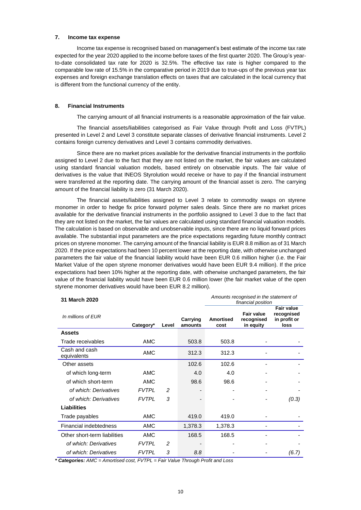#### **7. Income tax expense**

Income tax expense is recognised based on management's best estimate of the income tax rate expected for the year 2020 applied to the income before taxes of the first quarter 2020. The Group's yearto-date consolidated tax rate for 2020 is 32.5%. The effective tax rate is higher compared to the comparable low rate of 15.5% in the comparative period in 2019 due to true-ups of the previous year tax expenses and foreign exchange translation effects on taxes that are calculated in the local currency that is different from the functional currency of the entity.

#### **8. Financial Instruments**

The carrying amount of all financial instruments is a reasonable approximation of the fair value.

The financial assets/liabilities categorised as Fair Value through Profit and Loss (FVTPL) presented in Level 2 and Level 3 constitute separate classes of derivative financial instruments. Level 2 contains foreign currency derivatives and Level 3 contains commodity derivatives.

Since there are no market prices available for the derivative financial instruments in the portfolio assigned to Level 2 due to the fact that they are not listed on the market, the fair values are calculated using standard financial valuation models, based entirely on observable inputs. The fair value of derivatives is the value that INEOS Styrolution would receive or have to pay if the financial instrument were transferred at the reporting date. The carrying amount of the financial asset is zero. The carrying amount of the financial liability is zero (31 March 2020).

The financial assets/liabilities assigned to Level 3 relate to commodity swaps on styrene monomer in order to hedge fix price forward polymer sales deals. Since there are no market prices available for the derivative financial instruments in the portfolio assigned to Level 3 due to the fact that they are not listed on the market, the fair values are calculated using standard financial valuation models. The calculation is based on observable and unobservable inputs, since there are no liquid forward prices available. The substantial input parameters are the price expectations regarding future monthly contract prices on styrene monomer. The carrying amount of the financial liability is EUR 8.8 million as of 31 March 2020. If the price expectations had been 10 percent lower at the reporting date, with otherwise unchanged parameters the fair value of the financial liability would have been EUR 0.6 million higher (i.e. the Fair Market Value of the open styrene monomer derivatives would have been EUR 9.4 million). If the price expectations had been 10% higher at the reporting date, with otherwise unchanged parameters, the fair value of the financial liability would have been EUR 0.6 million lower (the fair market value of the open styrene monomer derivatives would have been EUR 8.2 million).

| 31 March 2020                |              |                | Amounts recognised in the statement of<br>financial position |                          |                                       |                                                         |
|------------------------------|--------------|----------------|--------------------------------------------------------------|--------------------------|---------------------------------------|---------------------------------------------------------|
| In millions of EUR           | Category*    | Level          | Carrying<br>amounts                                          | <b>Amortised</b><br>cost | Fair value<br>recognised<br>in equity | <b>Fair value</b><br>recognised<br>in profit or<br>loss |
| <b>Assets</b>                |              |                |                                                              |                          |                                       |                                                         |
| Trade receivables            | <b>AMC</b>   |                | 503.8                                                        | 503.8                    |                                       |                                                         |
| Cash and cash<br>equivalents | <b>AMC</b>   |                | 312.3                                                        | 312.3                    |                                       |                                                         |
| Other assets                 |              |                | 102.6                                                        | 102.6                    |                                       |                                                         |
| of which long-term           | <b>AMC</b>   |                | 4.0                                                          | 4.0                      |                                       |                                                         |
| of which short-term          | <b>AMC</b>   |                | 98.6                                                         | 98.6                     |                                       |                                                         |
| of which: Derivatives        | <b>FVTPL</b> | 2              |                                                              |                          |                                       |                                                         |
| of which: Derivatives        | <b>FVTPL</b> | 3              |                                                              |                          |                                       | (0.3)                                                   |
| <b>Liabilities</b>           |              |                |                                                              |                          |                                       |                                                         |
| Trade payables               | <b>AMC</b>   |                | 419.0                                                        | 419.0                    |                                       |                                                         |
| Financial indebtedness       | <b>AMC</b>   |                | 1,378.3                                                      | 1,378.3                  |                                       |                                                         |
| Other short-term liabilities | <b>AMC</b>   |                | 168.5                                                        | 168.5                    |                                       |                                                         |
| of which: Derivatives        | <b>FVTPI</b> | $\mathfrak{p}$ |                                                              |                          |                                       |                                                         |
| of which: Derivatives        | <b>FVTPL</b> | 3              | 8.8                                                          |                          |                                       | (6.7)                                                   |

*\* Categories: AMC = Amortised cost, FVTPL = Fair Value Through Profit and Loss*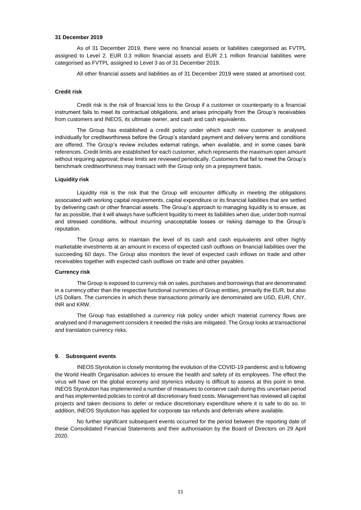#### **31 December 2019**

As of 31 December 2019, there were no financial assets or liabilities categorised as FVTPL assigned to Level 2. EUR 0.3 million financial assets and EUR 2.1 million financial liabilities were categorised as FVTPL assigned to Level 3 as of 31 December 2019.

All other financial assets and liabilities as of 31 December 2019 were stated at amortised cost.

#### **Credit risk**

Credit risk is the risk of financial loss to the Group if a customer or counterparty to a financial instrument fails to meet its contractual obligations, and arises principally from the Group's receivables from customers and INEOS, its ultimate owner, and cash and cash equivalents.

The Group has established a credit policy under which each new customer is analysed individually for creditworthiness before the Group's standard payment and delivery terms and conditions are offered. The Group's review includes external ratings, when available, and in some cases bank references. Credit limits are established for each customer, which represents the maximum open amount without requiring approval; these limits are reviewed periodically. Customers that fail to meet the Group's benchmark creditworthiness may transact with the Group only on a prepayment basis.

#### **Liquidity risk**

Liquidity risk is the risk that the Group will encounter difficulty in meeting the obligations associated with working capital requirements, capital expenditure or its financial liabilities that are settled by delivering cash or other financial assets. The Group's approach to managing liquidity is to ensure, as far as possible, that it will always have sufficient liquidity to meet its liabilities when due, under both normal and stressed conditions, without incurring unacceptable losses or risking damage to the Group's reputation.

The Group aims to maintain the level of its cash and cash equivalents and other highly marketable investments at an amount in excess of expected cash outflows on financial liabilities over the succeeding 60 days. The Group also monitors the level of expected cash inflows on trade and other receivables together with expected cash outflows on trade and other payables.

#### **Currency risk**

The Group is exposed to currency risk on sales, purchases and borrowings that are denominated in a currency other than the respective functional currencies of Group entities, primarily the EUR, but also US Dollars. The currencies in which these transactions primarily are denominated are USD, EUR, CNY, INR and KRW.

The Group has established a currency risk policy under which material currency flows are analysed and if management considers it needed the risks are mitigated. The Group looks at transactional and translation currency risks.

#### **9. Subsequent events**

INEOS Styrolution is closely monitoring the evolution of the COVID-19 pandemic and is following the World Health Organisation advices to ensure the health and safety of its employees. The effect the virus will have on the global economy and styrenics industry is difficult to assess at this point in time. INEOS Styrolution has implemented a number of measures to conserve cash during this uncertain period and has implemented policies to control all discretionary fixed costs. Management has reviewed all capital projects and taken decisions to defer or reduce discretionary expenditure where it is safe to do so. In addition, INEOS Styolution has applied for corporate tax refunds and deferrals where available.

No further significant subsequent events occurred for the period between the reporting date of these Consolidated Financial Statements and their authorisation by the Board of Directors on 29 April 2020.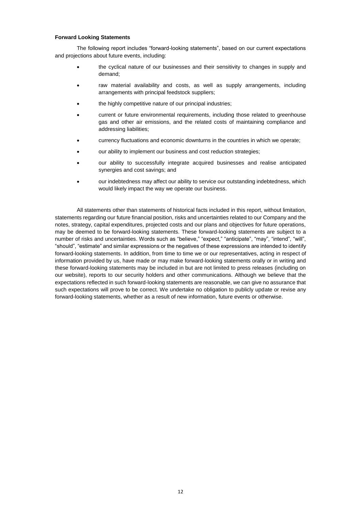#### **Forward Looking Statements**

The following report includes "forward-looking statements", based on our current expectations and projections about future events, including:

- the cyclical nature of our businesses and their sensitivity to changes in supply and demand;
- raw material availability and costs, as well as supply arrangements, including arrangements with principal feedstock suppliers;
- the highly competitive nature of our principal industries:
- current or future environmental requirements, including those related to greenhouse gas and other air emissions, and the related costs of maintaining compliance and addressing liabilities;
- currency fluctuations and economic downturns in the countries in which we operate;
- our ability to implement our business and cost reduction strategies;
- our ability to successfully integrate acquired businesses and realise anticipated synergies and cost savings; and
- our indebtedness may affect our ability to service our outstanding indebtedness, which would likely impact the way we operate our business.

All statements other than statements of historical facts included in this report, without limitation, statements regarding our future financial position, risks and uncertainties related to our Company and the notes, strategy, capital expenditures, projected costs and our plans and objectives for future operations, may be deemed to be forward-looking statements. These forward-looking statements are subject to a number of risks and uncertainties. Words such as "believe," "expect," "anticipate", "may", "intend", "will", "should", "estimate" and similar expressions or the negatives of these expressions are intended to identify forward-looking statements. In addition, from time to time we or our representatives, acting in respect of information provided by us, have made or may make forward-looking statements orally or in writing and these forward-looking statements may be included in but are not limited to press releases (including on our website), reports to our security holders and other communications. Although we believe that the expectations reflected in such forward-looking statements are reasonable, we can give no assurance that such expectations will prove to be correct. We undertake no obligation to publicly update or revise any forward-looking statements, whether as a result of new information, future events or otherwise.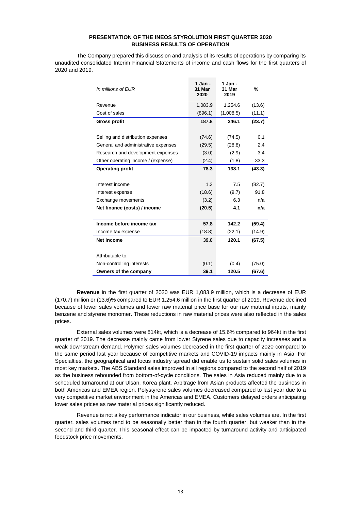## **PRESENTATION OF THE INEOS STYROLUTION FIRST QUARTER 2020 BUSINESS RESULTS OF OPERATION**

The Company prepared this discussion and analysis of its results of operations by comparing its unaudited consolidated Interim Financial Statements of income and cash flows for the first quarters of 2020 and 2019.

| In millions of EUR                  | 1 Jan -<br>31 Mar<br>2020 | 1 Jan -<br>31 Mar<br>2019 | %      |
|-------------------------------------|---------------------------|---------------------------|--------|
| Revenue                             | 1,083.9                   | 1,254.6                   | (13.6) |
| Cost of sales                       | (896.1)                   | (1,008.5)                 | (11.1) |
| <b>Gross profit</b>                 | 187.8                     | 246.1                     | (23.7) |
|                                     |                           |                           |        |
| Selling and distribution expenses   | (74.6)                    | (74.5)                    | 0.1    |
| General and administrative expenses | (29.5)                    | (28.8)                    | 2.4    |
| Research and development expenses   | (3.0)                     | (2.9)                     | 3.4    |
| Other operating income / (expense)  | (2.4)                     | (1.8)                     | 33.3   |
| <b>Operating profit</b>             | 78.3                      | 138.1                     | (43.3) |
|                                     |                           |                           |        |
| Interest income                     | 1.3                       | 7.5                       | (82.7) |
| Interest expense                    | (18.6)                    | (9.7)                     | 91.8   |
| Exchange movements                  | (3.2)                     | 6.3                       | n/a    |
| Net finance (costs) / income        | (20.5)                    | 4.1                       | n/a    |
|                                     |                           |                           |        |
| Income before income tax            | 57.8                      | 142.2                     | (59.4) |
| Income tax expense                  | (18.8)                    | (22.1)                    | (14.9) |
| <b>Net income</b>                   | 39.0                      | 120.1                     | (67.5) |
|                                     |                           |                           |        |
| Attributable to:                    |                           |                           |        |
| Non-controlling interests           | (0.1)                     | (0.4)                     | (75.0) |
| Owners of the company               | 39.1                      | 120.5                     | (67.6) |

**Revenue** in the first quarter of 2020 was EUR 1,083.9 million, which is a decrease of EUR (170.7) million or (13.6)% compared to EUR 1,254.6 million in the first quarter of 2019. Revenue declined because of lower sales volumes and lower raw material price base for our raw material inputs, mainly benzene and styrene monomer. These reductions in raw material prices were also reflected in the sales prices.

External sales volumes were 814kt, which is a decrease of 15.6% compared to 964kt in the first quarter of 2019. The decrease mainly came from lower Styrene sales due to capacity increases and a weak downstream demand. Polymer sales volumes decreased in the first quarter of 2020 compared to the same period last year because of competitive markets and COVID-19 impacts mainly in Asia. For Specialties, the geographical and focus industry spread did enable us to sustain solid sales volumes in most key markets. The ABS Standard sales improved in all regions compared to the second half of 2019 as the business rebounded from bottom-of-cycle conditions. The sales in Asia reduced mainly due to a scheduled turnaround at our Ulsan, Korea plant. Arbitrage from Asian products affected the business in both Americas and EMEA region. Polystyrene sales volumes decreased compared to last year due to a very competitive market environment in the Americas and EMEA. Customers delayed orders anticipating lower sales prices as raw material prices significantly reduced.

Revenue is not a key performance indicator in our business, while sales volumes are. In the first quarter, sales volumes tend to be seasonally better than in the fourth quarter, but weaker than in the second and third quarter. This seasonal effect can be impacted by turnaround activity and anticipated feedstock price movements.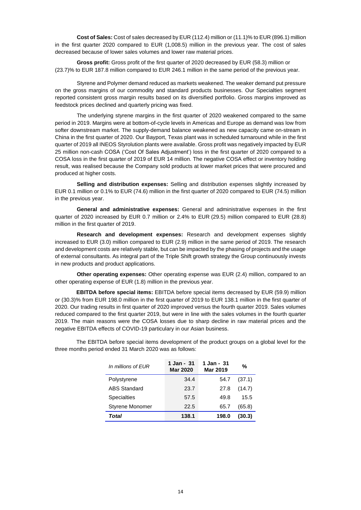**Cost of Sales:** Cost of sales decreased by EUR (112.4) million or (11.1)% to EUR (896.1) million in the first quarter 2020 compared to EUR (1,008.5) million in the previous year. The cost of sales decreased because of lower sales volumes and lower raw material prices.

**Gross profit:** Gross profit of the first quarter of 2020 decreased by EUR (58.3) million or (23.7)% to EUR 187.8 million compared to EUR 246.1 million in the same period of the previous year.

Styrene and Polymer demand reduced as markets weakened. The weaker demand put pressure on the gross margins of our commodity and standard products businesses. Our Specialties segment reported consistent gross margin results based on its diversified portfolio. Gross margins improved as feedstock prices declined and quarterly pricing was fixed.

The underlying styrene margins in the first quarter of 2020 weakened compared to the same period in 2019. Margins were at bottom-of-cycle levels in Americas and Europe as demand was low from softer downstream market. The supply-demand balance weakened as new capacity came on-stream in China in the first quarter of 2020. Our Bayport, Texas plant was in scheduled turnaround while in the first quarter of 2019 all INEOS Styrolution plants were available. Gross profit was negatively impacted by EUR 25 million non-cash COSA ('Cost Of Sales Adjustment') loss in the first quarter of 2020 compared to a COSA loss in the first quarter of 2019 of EUR 14 million. The negative COSA effect or inventory holding result, was realised because the Company sold products at lower market prices that were procured and produced at higher costs.

**Selling and distribution expenses:** Selling and distribution expenses slightly increased by EUR 0.1 million or 0.1% to EUR (74.6) million in the first quarter of 2020 compared to EUR (74.5) million in the previous year.

**General and administrative expenses:** General and administrative expenses in the first quarter of 2020 increased by EUR 0.7 million or 2.4% to EUR (29.5) million compared to EUR (28.8) million in the first quarter of 2019.

**Research and development expenses:** Research and development expenses slightly increased to EUR (3.0) million compared to EUR (2.9) million in the same period of 2019. The research and development costs are relatively stable, but can be impacted by the phasing of projects and the usage of external consultants. As integral part of the Triple Shift growth strategy the Group continuously invests in new products and product applications.

**Other operating expenses:** Other operating expense was EUR (2.4) million, compared to an other operating expense of EUR (1.8) million in the previous year.

**EBITDA before special items:** EBITDA before special items decreased by EUR (59.9) million or (30.3)% from EUR 198.0 million in the first quarter of 2019 to EUR 138.1 million in the first quarter of 2020. Our trading results in first quarter of 2020 improved versus the fourth quarter 2019. Sales volumes reduced compared to the first quarter 2019, but were in line with the sales volumes in the fourth quarter 2019. The main reasons were the COSA losses due to sharp decline in raw material prices and the negative EBITDA effects of COVID-19 particulary in our Asian business.

| In millions of EUR     | 1 Jan - 31<br><b>Mar 2020</b> | 1 Jan - 31<br>Mar 2019 | %      |
|------------------------|-------------------------------|------------------------|--------|
| Polystyrene            | 34.4                          | 54.7                   | (37.1) |
| <b>ABS Standard</b>    | 23.7                          | 27.8                   | (14.7) |
| <b>Specialties</b>     | 57.5                          | 49.8                   | 15.5   |
| <b>Styrene Monomer</b> | 22.5                          | 65.7                   | (65.8) |
| Total                  | 138.1                         | 198.0                  | (30.3) |

The EBITDA before special items development of the product groups on a global level for the three months period ended 31 March 2020 was as follows: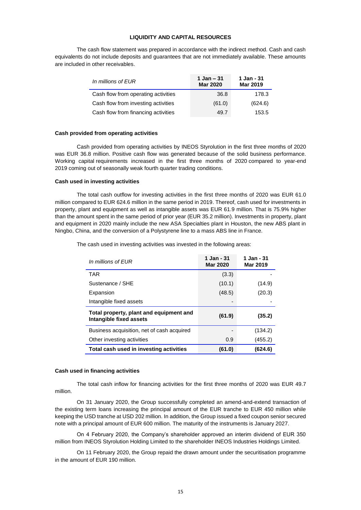## **LIQUIDITY AND CAPITAL RESOURCES**

The cash flow statement was prepared in accordance with the indirect method. Cash and cash equivalents do not include deposits and guarantees that are not immediately available. These amounts are included in other receivables.

| In millions of EUR                  | 1 Jan - 31<br><b>Mar 2020</b> | 1 Jan - 31<br><b>Mar 2019</b> |
|-------------------------------------|-------------------------------|-------------------------------|
| Cash flow from operating activities | 36.8                          | 178.3                         |
| Cash flow from investing activities | (61.0)                        | (624.6)                       |
| Cash flow from financing activities | 49.7                          | 153.5                         |

#### **Cash provided from operating activities**

Cash provided from operating activities by INEOS Styrolution in the first three months of 2020 was EUR 36.8 million. Positive cash flow was generated because of the solid business performance. Working capital requirements increased in the first three months of 2020 compared to year-end 2019 coming out of seasonally weak fourth quarter trading conditions.

#### **Cash used in investing activities**

The total cash outflow for investing activities in the first three months of 2020 was EUR 61.0 million compared to EUR 624.6 million in the same period in 2019. Thereof, cash used for investments in property, plant and equipment as well as intangible assets was EUR 61.9 million. That is 75.9% higher than the amount spent in the same period of prior year (EUR 35.2 million). Investments in property, plant and equipment in 2020 mainly include the new ASA Specialties plant in Houston, the new ABS plant in Ningbo, China, and the conversion of a Polystyrene line to a mass ABS line in France.

The cash used in investing activities was invested in the following areas:

| In millions of EUR                                                 | 1 Jan - 31<br><b>Mar 2020</b> | 1 Jan - 31<br>Mar 2019 |
|--------------------------------------------------------------------|-------------------------------|------------------------|
| <b>TAR</b>                                                         | (3.3)                         |                        |
| Sustenance / SHE                                                   | (10.1)                        | (14.9)                 |
| Expansion                                                          | (48.5)                        | (20.3)                 |
| Intangible fixed assets                                            |                               |                        |
| Total property, plant and equipment and<br>Intangible fixed assets | (61.9)                        | (35.2)                 |
| Business acquisition, net of cash acquired                         |                               | (134.2)                |
| Other investing activities                                         | 0.9                           | (455.2)                |
| Total cash used in investing activities                            | (61.0)                        | (624.6)                |

#### **Cash used in financing activities**

The total cash inflow for financing activities for the first three months of 2020 was EUR 49.7 million.

On 31 January 2020, the Group successfully completed an amend-and-extend transaction of the existing term loans increasing the principal amount of the EUR tranche to EUR 450 million while keeping the USD tranche at USD 202 million. In addition, the Group issued a fixed coupon senior secured note with a principal amount of EUR 600 million. The maturity of the instruments is January 2027.

On 4 February 2020, the Company's shareholder approved an interim dividend of EUR 350 million from INEOS Styrolution Holding Limited to the shareholder INEOS Industries Holdings Limited.

On 11 February 2020, the Group repaid the drawn amount under the securitisation programme in the amount of EUR 190 million.